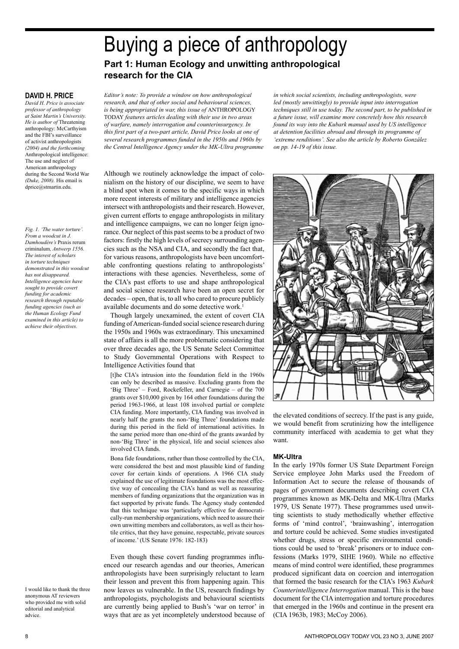# Buying a piece of anthropology **Part 1: Human Ecology and unwitting anthropological research for the CIA**

## **David H. Price**

*David H. Price is associate professor of anthropology at Saint Martin's University. He is author of* Threatening anthropology: McCarthyism and the FBI's surveillance of activist anthropologists *(2004) and the forthcoming*  Anthropological intelligence: The use and neglect of American anthropology during the Second World War *(Duke, 2008).* His email is dprice@stmartin.edu.

*Fig. 1. 'The water torture'. From a woodcut in J. Damhoudère's* Praxis rerum criminalum*, Antwerp 1556. The interest of scholars in torture techniques demonstrated in this woodcut has not disappeared. Intelligence agencies have sought to provide covert funding for academic research through reputable funding agencies (such as the Human Ecology Fund examined in this article) to achieve their objectives.*

*Editor's note: To provide a window on how anthropological research, and that of other social and behavioural sciences, is being appropriated in war, this issue of* ANTHROPOLOGY TODAY *features articles dealing with their use in two areas of warfare, namely interrogation and counterinsurgency. In this first part of a two-part article, David Price looks at one of several research programmes funded in the 1950s and 1960s by the Central Intelligence Agency under the MK-Ultra programme* 

*in which social scientists, including anthropologists, were led (mostly unwittingly) to provide input into interrogation techniques still in use today. The second part, to be published in a future issue, will examine more concretely how this research found its way into the Kubark manual used by US intelligence at detention facilities abroad and through its programme of 'extreme renditions'. See also the article by Roberto González on pp. 14-19 of this issue.*

Although we routinely acknowledge the impact of colonialism on the history of our discipline, we seem to have a blind spot when it comes to the specific ways in which more recent interests of military and intelligence agencies intersect with anthropologists and their research. However, given current efforts to engage anthropologists in military and intelligence campaigns, we can no longer feign ignorance. Our neglect of this past seems to be a product of two factors: firstly the high levels of secrecy surrounding agencies such as the NSA and CIA, and secondly the fact that, for various reasons, anthropologists have been uncomfortable confronting questions relating to anthropologists' interactions with these agencies. Nevertheless, some of the CIA's past efforts to use and shape anthropological and social science research have been an open secret for decades – open, that is, to all who cared to procure publicly available documents and do some detective work.

Though largely unexamined, the extent of covert CIA funding of American-funded social science research during the 1950s and 1960s was extraordinary. This unexamined state of affairs is all the more problematic considering that over three decades ago, the US Senate Select Committee to Study Governmental Operations with Respect to Intelligence Activities found that

[t]he CIA's intrusion into the foundation field in the 1960s can only be described as massive. Excluding grants from the 'Big Three' – Ford, Rockefeller, and Carnegie – of the 700 grants over \$10,000 given by 164 other foundations during the period 1963-1966, at least 108 involved partial or complete CIA funding. More importantly, CIA funding was involved in nearly half the grants the non-'Big Three' foundations made during this period in the field of international activities. In the same period more than one-third of the grants awarded by non-'Big Three' in the physical, life and social sciences also involved CIA funds.

Bona fide foundations, rather than those controlled by the CIA, were considered the best and most plausible kind of funding cover for certain kinds of operations. A 1966 CIA study explained the use of legitimate foundations was the most effective way of concealing the CIA's hand as well as reassuring members of funding organizations that the organization was in fact supported by private funds. The Agency study contended that this technique was 'particularly effective for democratically-run membership organizations, which need to assure their own unwitting members and collaborators, as well as their hostile critics, that they have genuine, respectable, private sources of income.' (US Senate 1976: 182-183)

Even though these covert funding programmes influenced our research agendas and our theories, American anthropologists have been surprisingly reluctant to learn their lesson and prevent this from happening again. This now leaves us vulnerable. In the US, research findings by anthropologists, psychologists and behavioural scientists are currently being applied to Bush's 'war on terror' in ways that are as yet incompletely understood because of



the elevated conditions of secrecy. If the past is any guide, we would benefit from scrutinizing how the intelligence community interfaced with academia to get what they want.

#### **MK-Ultra**

In the early 1970s former US State Department Foreign Service employee John Marks used the Freedom of Information Act to secure the release of thousands of pages of government documents describing covert CIA programmes known as MK-Delta and MK-Ultra (Marks 1979, US Senate 1977). These programmes used unwitting scientists to study methodically whether effective forms of 'mind control', 'brainwashing', interrogation and torture could be achieved. Some studies investigated whether drugs, stress or specific environmental conditions could be used to 'break' prisoners or to induce confessions (Marks 1979, SIHE 1960). While no effective means of mind control were identified, these programmes produced significant data on coercion and interrogation that formed the basic research for the CIA's 1963 *Kubark Counterintelligence Interrogation* manual. This is the base document for the CIA interrogation and torture procedures that emerged in the 1960s and continue in the present era (CIA 1963b, 1983; McCoy 2006).

I would like to thank the three anonymous AT reviewers who provided me with solid editorial and analytical advice.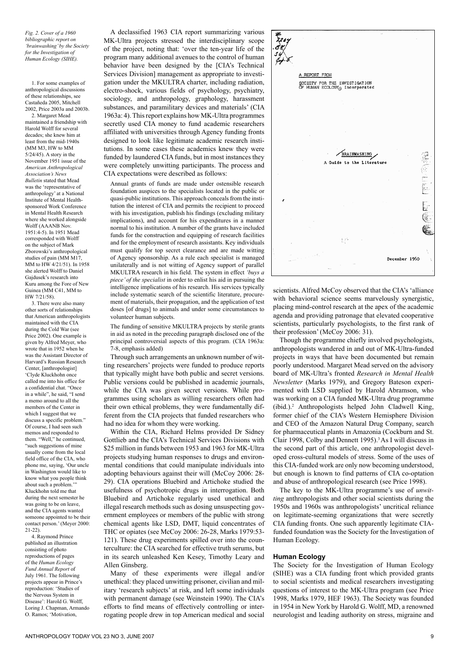*Fig. 2. Cover of a 1960 bibliographic report on 'brainwashing' by the Society for the Investigation of Human Ecology (SIHE).*

1. For some examples of anthropological discussions of these relationships, see Castañeda 2005, Mitchell 2002, Price 2003a and 2003b.

2. Margaret Mead maintained a friendship with Harold Wolff for several decades; she knew him at least from the mid-1940s (MM M3, HW to MM 5/24/45). A story in the November 1951 issue of the *American Anthropological Association's News Bulletin* stated that Mead was the 'representative of anthropology' at a National Institute of Mental Healthsponsored Work Conference in Mental Health Research where she worked alongside Wolff (AAANR Nov. 1951:4-5). In 1951 Mead corresponded with Wolff on the subject of Mark Zborowski's anthropological studies of pain (MM M17, MM to HW 4/21/51). In 1958 she alerted Wolff to Daniel Gajdusek's research into Kuru among the Fore of New Guinea (MM C41, MM to HW 7/21/58).

3. There were also many other sorts of relationships that American anthropologists maintained with the CIA during the Cold War (see Price 2002). One example is given by Alfred Meyer, who wrote that in 1952 when he was the Assistant Director of Harvard's Russian Research Center, [anthropologist] 'Clyde Kluckhohn once called me into his office for a confidential chat. "Once in a while", he said, "I send a memo around to all the members of the Center in which I suggest that we discuss a specific problem." Of course, I had seen such memos and responded to them. "Well," he continued, "such suggestions of mine usually come from the local field office of the CIA, who phone me, saying, 'Our uncle in Washington would like to know what you people think about such a problem.' Kluckhohn told me that during the next semester he was going to be on leave, and the CIA agents wanted someone appointed to be their contact person.' (Meyer 2000: 21-22).

4. Raymond Prince published an illustration consisting of photo reproductions of pages of the *Human Ecology Fund Annual Report* of July 1961. The following projects appear in Prince's reproduction: 'Studies of the Nervous System in Disease': Harold G. Wolff, Loring J. Chapman, Armando O. Ramos; 'Motivation,

A declassified 1963 CIA report summarizing various MK-Ultra projects stressed the interdisciplinary scope of the project, noting that: 'over the ten-year life of the program many additional avenues to the control of human behavior have been designed by the [CIA's Technical Services Division] management as appropriate to investigation under the MKULTRA charter, including radiation, electro-shock, various fields of psychology, psychiatry, sociology, and anthropology, graphology, harassment substances, and paramilitary devices and materials' (CIA 1963a: 4). This report explains how MK-Ultra programmes secretly used CIA money to fund academic researchers affiliated with universities through Agency funding fronts designed to look like legitimate academic research institutions. In some cases these academics knew they were funded by laundered CIA funds, but in most instances they were completely unwitting participants. The process and CIA expectations were described as follows:

Annual grants of funds are made under ostensible research foundation auspices to the specialists located in the public or quasi-public institutions. This approach conceals from the institution the interest of CIA and permits the recipient to proceed with his investigation, publish his findings (excluding military implications), and account for his expenditures in a manner normal to his institution. A number of the grants have included funds for the construction and equipping of research facilities and for the employment of research assistants. Key individuals must qualify for top secret clearance and are made witting of Agency sponsorship. As a rule each specialist is managed unilaterally and is not witting of Agency support of parallel MKULTRA research in his field. The system in effect *'buys a piece' of the specialist* in order to enlist his aid in pursuing the intelligence implications of his research. His services typically include systematic search of the scientific literature, procurement of materials, their propagation, and the application of test doses [of drugs] to animals and under some circumstances to volunteer human subjects.

The funding of sensitive MKULTRA projects by sterile grants in aid as noted in the preceding paragraph disclosed one of the principal controversial aspects of this program. (CIA 1963a: 7-8, emphasis added)

Through such arrangements an unknown number of witting researchers' projects were funded to produce reports that typically might have both public and secret versions. Public versions could be published in academic journals, while the CIA was given secret versions. While programmes using scholars as willing researchers often had their own ethical problems, they were fundamentally different from the CIA projects that funded researchers who had no idea for whom they were working.

Within the CIA, Richard Helms provided Dr Sidney Gottlieb and the CIA's Technical Services Divisions with \$25 million in funds between 1953 and 1963 for MK-Ultra projects studying human responses to drugs and environmental conditions that could manipulate individuals into adopting behaviours against their will (McCoy 2006: 28- 29). CIA operations Bluebird and Artichoke studied the usefulness of psychotropic drugs in interrogation. Both Bluebird and Artichoke regularly used unethical and illegal research methods such as dosing unsuspecting government employees or members of the public with strong chemical agents like LSD, DMT, liquid concentrates of THC or opiates (see McCoy 2006: 26-28, Marks 1979:53- 121). These drug experiments spilled over into the counterculture: the CIA searched for effective truth serums, but in its search unleashed Ken Kesey, Timothy Leary and Allen Ginsberg.

Many of these experiments were illegal and/or unethical: they placed unwitting prisoner, civilian and military 'research subjects' at risk, and left some individuals with permanent damage (see Weinstein 1990). The CIA's efforts to find means of effectively controlling or interrogating people drew in top American medical and social



scientists. Alfred McCoy observed that the CIA's 'alliance with behavioral science seems marvelously synergistic, placing mind-control research at the apex of the academic agenda and providing patronage that elevated cooperative scientists, particularly psychologists, to the first rank of their profession' (McCoy 2006: 31).

Though the programme chiefly involved psychologists, anthropologists wandered in and out of MK-Ultra-funded projects in ways that have been documented but remain poorly understood. Margaret Mead served on the advisory board of MK-Ultra's fronted *Research in Mental Health Newsletter* (Marks 1979), and Gregory Bateson experimented with LSD supplied by Harold Abramson, who was working on a CIA funded MK-Ultra drug programme (ibid.).2 Anthropologists helped John Cladwell King, former chief of the CIA's Western Hemisphere Division and CEO of the Amazon Natural Drug Company, search for pharmaceutical plants in Amazonia (Cockburn and St. Clair 1998, Colby and Dennett 1995).<sup>3</sup> As I will discuss in the second part of this article, one anthropologist developed cross-cultural models of stress. Some of the uses of this CIA-funded work are only now becoming understood, but enough is known to find patterns of CIA co-optation and abuse of anthropological research (see Price 1998).

The key to the MK-Ultra programme's use of *unwitting* anthropologists and other social scientists during the 1950s and 1960s was anthropologists' uncritical reliance on legitimate-seeming organizations that were secretly CIA funding fronts. One such apparently legitimate CIAfunded foundation was the Society for the Investigation of Human Ecology.

#### **Human Ecology**

The Society for the Investigation of Human Ecology (SIHE) was a CIA funding front which provided grants to social scientists and medical researchers investigating questions of interest to the MK-Ultra program (see Price 1998, Marks 1979, HEF 1963). The Society was founded in 1954 in New York by Harold G. Wolff, MD, a renowned neurologist and leading authority on stress, migraine and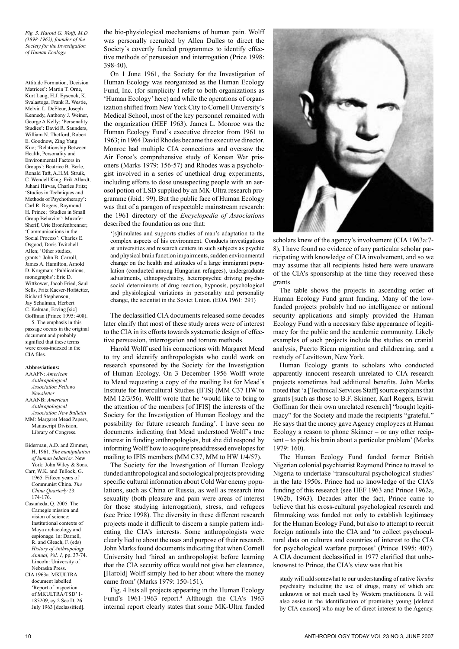*Fig. 3. Harold G. Wolff, M.D. (1898-1962), founder of the Society for the Investigation of Human Ecology.*

Attitude Formation, Decision Matrices': Martin T. Orne, Kurt Lang, H.J. Eysenck, K. Svalastoga, Frank R. Westie, Melvin L. DeFleur, Joseph Kennedy, Anthony J. Weiner, George A Kelly; 'Personality Studies': David R. Saunders, William N. Thetford, Robert E. Goodnow, Zing Yang Kuo; 'Relationship Between Health, Personality and Environmental Factors in Groups': Beatrice B. Berle, Ronald Taft, A.H.M. Struik, C. Wendell King, Erik Allardt, Juhani Hirvas, Charles Fritz; 'Studies in Techniques and Methods of Psychotherapy': Carl R. Rogers, Raymond H. Prince; 'Studies in Small Group Behavior': Muzafer Sherif, Urie Bronfenbrenner; 'Communications in the Social Process': Charles E. Osgood, Doris Twitchell Allen; 'Other studies, grants': John B. Carroll, James A. Hamilton, Arnold D. Krugman; 'Publications, monographs': Eric D. Wittkower, Jacob Fried, Saul Sells, Fritz Kaeser-Hofstetter, Richard Stephenson, Jay Schulman, Herbert C. Kelman, Erving [sic] Goffman (Prince 1995: 408). 5. The emphasis in this

passage occurs in the original document and probably signified that these terms were cross-indexed in the CIA files.

#### **Abbreviations:**

AAAFN: *American Anthropological Association Fellows Newsletter* AAANB: *American Anthropological Association New Bulletin* MM: Margaret Mead Papers, Manuscript Division, Library of Congress.

Biderman, A.D. and Zimmer, H, 1961. *The manipulation of human behavior*. New York: John Wiley & Sons. Carr, W.K. and Tullock, G.

1965. Fifteen years of Communist China. *The China Quarterly* 23: 174-176.

Castañeda, Q. 2005. The Carnegie mission and vision of science: Institutional contexts of Maya archaeology and espionage. In: Darnell, R. and Gleach, F. (eds) *History of Anthropology Annual, Vol. 1*, pp. 37-74. Lincoln: University of Nebraska Press.

CIA 1963a. MKULTRA document labelled 'Report of inspection of MKULTRA/TSD' 1- 185209, cy 2 See D, 26 July 1963 [declassified]. the bio-physiological mechanisms of human pain. Wolff was personally recruited by Allen Dulles to direct the Society's covertly funded programmes to identify effective methods of persuasion and interrogation (Price 1998: 398-40).

On 1 June 1961, the Society for the Investigation of Human Ecology was reorganized as the Human Ecology Fund, Inc. (for simplicity I refer to both organizations as 'Human Ecology' here) and while the operations of organization shifted from New York City to Cornell University's Medical School, most of the key personnel remained with the organization (HEF 1963). James L. Monroe was the Human Ecology Fund's executive director from 1961 to 1963; in 1964 David Rhodes became the executive director. Monroe had multiple CIA connections and oversaw the Air Force's comprehensive study of Korean War prisoners (Marks 1979: 156-57) and Rhodes was a psychologist involved in a series of unethical drug experiments, including efforts to dose unsuspecting people with an aerosol potion of LSD supplied by an MK-Ultra research programme (ibid.: 99). But the public face of Human Ecology was that of a paragon of respectable mainstream research: the 1961 directory of the *Encyclopedia of Associations* described the foundation as one that:

'[s]timulates and supports studies of man's adaptation to the complex aspects of his environment. Conducts investigations at universities and research centers in such subjects as psychic and physical brain function impairments, sudden environmental change on the health and attitudes of a large immigrant population (conducted among Hungarian refugees), undergraduate adjustments, ethnopsychiatry, heteropsychic driving psychosocial determinants of drug reaction, hypnosis, psychological and physiological variations in personality and personality change, the scientist in the Soviet Union. (EOA 1961: 291)

The declassified CIA documents released some decades later clarify that most of these study areas were of interest to the CIA in its efforts towards systematic design of effective persuasion, interrogation and torture methods.

Harold Wolff used his connections with Margaret Mead to try and identify anthropologists who could work on research sponsored by the Society for the Investigation of Human Ecology. On 3 December 1956 Wolff wrote to Mead requesting a copy of the mailing list for Mead's Institute for Intercultural Studies (IFIS) (MM C37 HW to MM 12/3/56). Wolff wrote that he 'would like to bring to the attention of the members [of IFIS] the interests of the Society for the Investigation of Human Ecology and the possibility for future research funding'. I have seen no documents indicating that Mead understood Wolff's true interest in funding anthropologists, but she did respond by informing Wolff how to acquire preaddressed envelopes for mailing to IFIS members (MM C37, MM to HW 1/4/57).

The Society for the Investigation of Human Ecology funded anthropological and sociological projects providing specific cultural information about Cold War enemy populations, such as China or Russia, as well as research into sexuality (both pleasure and pain were areas of interest for those studying interrogation), stress, and refugees (see Price 1998). The diversity in these different research projects made it difficult to discern a simple pattern indicating the CIA's interests. Some anthropologists were clearly lied to about the uses and purpose of their research. John Marks found documents indicating that when Cornell University had 'hired an anthropologist before learning that the CIA security office would not give her clearance, [Harold] Wolff simply lied to her about where the money came from' (Marks 1979: 150-151).

Fig. 4 lists all projects appearing in the Human Ecology Fund's 1961-1963 report.<sup>4</sup> Although the CIA's 1963 internal report clearly states that some MK-Ultra funded



scholars knew of the agency's involvement (CIA 1963a:7- 8), I have found no evidence of any particular scholar participating with knowledge of CIA involvement, and so we may assume that all recipients listed here were unaware of the CIA's sponsorship at the time they received these grants.

The table shows the projects in ascending order of Human Ecology Fund grant funding. Many of the lowfunded projects probably had no intelligence or national security applications and simply provided the Human Ecology Fund with a necessary false appearance of legitimacy for the public and the academic community. Likely examples of such projects include the studies on cranial analysis, Puerto Rican migration and childrearing, and a restudy of Levittown, New York.

Human Ecology grants to scholars who conducted apparently innocent research unrelated to CIA research projects sometimes had additional benefits. John Marks noted that 'a [Technical Services Staff] source explains that grants [such as those to B.F. Skinner, Karl Rogers, Erwin Goffman for their own unrelated research] "bought legitimacy" for the Society and made the recipients "grateful." He says that the money gave Agency employees at Human Ecology a reason to phone Skinner – or any other recipient – to pick his brain about a particular problem' (Marks 1979: 160).

The Human Ecology Fund funded former British Nigerian colonial psychiatrist Raymond Prince to travel to Nigeria to undertake 'transcultural psychological studies' in the late 1950s. Prince had no knowledge of the CIA's funding of this research (see HEF 1963 and Prince 1962a, 1962b, 1963). Decades after the fact, Prince came to believe that his cross-cultural psychological research and filmmaking was funded not only to establish legitimacy for the Human Ecology Fund, but also to attempt to recruit foreign nationals into the CIA and 'to collect psychocultural data on cultures and countries of interest to the CIA for psychological warfare purposes' (Prince 1995: 407). A CIA document declassified in 1977 clarified that unbeknownst to Prince, the CIA's view was that his

study will add somewhat to our understanding of native *Yoruba* psychiatry including the use of drugs, many of which are unknown or not much used by Western practitioners. It will also assist in the identification of promising young [deleted by CIA censors] who may be of direct interest to the Agency.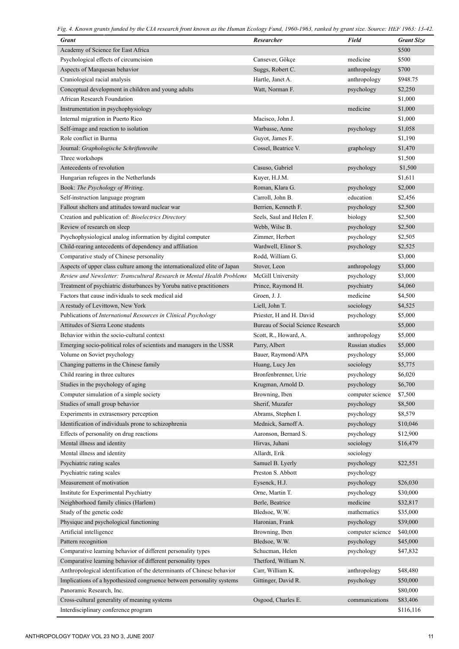*Fig. 4. Known grants funded by the CIA research front known as the Human Ecology Fund, 1960-1963, ranked by grant size. Source: HEF 1963: 13-42.*

| <b>Grant</b>                                                              | <b>Researcher</b>                 | <b>Field</b>     | <b>Grant Size</b> |
|---------------------------------------------------------------------------|-----------------------------------|------------------|-------------------|
| Academy of Science for East Africa                                        |                                   |                  | \$500             |
| Psychological effects of circumcision                                     | Cansever, Gökçe                   | medicine         | \$500             |
| Aspects of Marquesan behavior                                             | Suggs, Robert C.                  | anthropology     | \$700             |
| Craniological racial analysis                                             | Hartle, Janet A.                  | anthropology     | \$948.75          |
| Conceptual development in children and young adults                       | Watt, Norman F.                   | psychology       | \$2,250           |
| <b>African Research Foundation</b>                                        |                                   |                  | \$1,000           |
| Instrumentation in psychophysiology                                       |                                   | medicine         | \$1,000           |
| Internal migration in Puerto Rico                                         | Macisco, John J.                  |                  | \$1,000           |
| Self-image and reaction to isolation                                      | Warbasse, Anne                    | psychology       | \$1,058           |
| Role conflict in Burma                                                    | Guyot, James F.                   |                  | \$1,190           |
| Journal: Graphologische Schriftenreihe                                    | Cossel, Beatrice V.               | graphology       | \$1,470           |
| Three workshops                                                           |                                   |                  | \$1,500           |
| Antecedents of revolution                                                 | Casuso, Gabriel                   | psychology       | \$1,500           |
| Hungarian refugees in the Netherlands                                     | Kuyer, H.J.M.                     |                  | \$1,611           |
| Book: The Psychology of Writing.                                          | Roman, Klara G.                   | psychology       | \$2,000           |
| Self-instruction language program                                         | Carroll, John B.                  | education        | \$2,456           |
| Fallout shelters and attitudes toward nuclear war                         | Berrien, Kenneth F.               | psychology       | \$2,500           |
| Creation and publication of: Bioelectrics Directory                       | Seels, Saul and Helen F.          | biology          | \$2,500           |
| Review of research on sleep                                               | Webb, Wilse B.                    | psychology       | \$2,500           |
| Psychophysiological analog information by digital computer                | Zimmer, Herbert                   | psychology       | \$2,505           |
| Child-rearing antecedents of dependency and affiliation                   | Wardwell, Elinor S.               | psychology       | \$2,525           |
| Comparative study of Chinese personality                                  | Rodd, William G.                  |                  | \$3,000           |
| Aspects of upper class culture among the internationalized elite of Japan | Stover, Leon                      | anthropology     | \$3,000           |
| Review and Newsletter: Transcultural Research in Mental Health Problems   | McGill University                 | psychology       | \$3,000           |
|                                                                           |                                   |                  | \$4,060           |
| Treatment of psychiatric disturbances by Yoruba native practitioners      | Prince, Raymond H.                | psychiatry       |                   |
| Factors that cause individuals to seek medical aid                        | Groen, J. J.                      | medicine         | \$4,500           |
| A restudy of Levittown, New York                                          | Liell, John T.                    | sociology        | \$4,525           |
| Publications of International Resources in Clinical Psychology            | Priester, H and H. David          | psychology       | \$5,000           |
| Attitudes of Sierra Leone students                                        | Bureau of Social Science Research |                  | \$5,000           |
| Behavior within the socio-cultural context                                | Scott, R., Howard, A.             | anthropology     | \$5,000           |
| Emerging socio-political roles of scientists and managers in the USSR     | Parry, Albert                     | Russian studies  | \$5,000           |
| Volume on Soviet psychology                                               | Bauer, Raymond/APA                | psychology       | \$5,000           |
| Changing patterns in the Chinese family                                   | Huang, Lucy Jen                   | sociology        | \$5,775           |
| Child rearing in three cultures                                           | Bronfenbrenner, Urie              | psychology       | \$6,020           |
| Studies in the psychology of aging                                        | Krugman, Arnold D.                | psychology       | \$6,700           |
| Computer simulation of a simple society                                   | Browning, Iben                    | computer science | \$7,500           |
| Studies of small group behavior                                           | Sherif, Muzafer                   | psychology       | \$8,500           |
| Experiments in extrasensory perception                                    | Abrams, Stephen I.                | psychology       | \$8,579           |
| Identification of individuals prone to schizophrenia                      | Mednick, Sarnoff A.               | psychology       | \$10,046          |
| Effects of personality on drug reactions                                  | Aaronson, Bernard S.              | psychology       | \$12,900          |
| Mental illness and identity                                               | Hirvas, Juhani                    | sociology        | \$16,479          |
| Mental illness and identity                                               | Allardt, Erik                     | sociology        |                   |
| Psychiatric rating scales                                                 | Samuel B. Lyerly                  | psychology       | \$22,551          |
| Psychiatric rating scales                                                 | Preston S. Abbott                 | psychology       |                   |
| Measurement of motivation                                                 | Eysenck, H.J.                     | psychology       | \$26,030          |
| Institute for Experimental Psychiatry                                     | Orne, Martin T.                   | psychology       | \$30,000          |
| Neighborhood family clinics (Harlem)                                      | Berle, Beatrice                   | medicine         | \$32,817          |
| Study of the genetic code                                                 | Bledsoe, W.W.                     | mathematics      | \$35,000          |
| Physique and psychological functioning                                    | Haronian, Frank                   | psychology       | \$39,000          |
| Artificial intelligence                                                   | Browning, Iben                    | computer science | \$40,000          |
| Pattern recognition                                                       | Bledsoe, W.W.                     | psychology       | \$45,000          |
| Comparative learning behavior of different personality types              | Schucman, Helen                   | psychology       | \$47,832          |
| Comparative learning behavior of different personality types              | Thetford, William N.              |                  |                   |
| Anthropological identification of the determinants of Chinese behavior    | Carr, William K.                  | anthropology     | \$48,480          |
| Implications of a hypothesized congruence between personality systems     | Gittinger, David R.               | psychology       | \$50,000          |
| Panoramic Research, Inc.                                                  |                                   |                  | \$80,000          |
| Cross-cultural generality of meaning systems                              | Osgood, Charles E.                | communications   | \$83,406          |
| Interdisciplinary conference program                                      |                                   |                  | \$116,116         |
|                                                                           |                                   |                  |                   |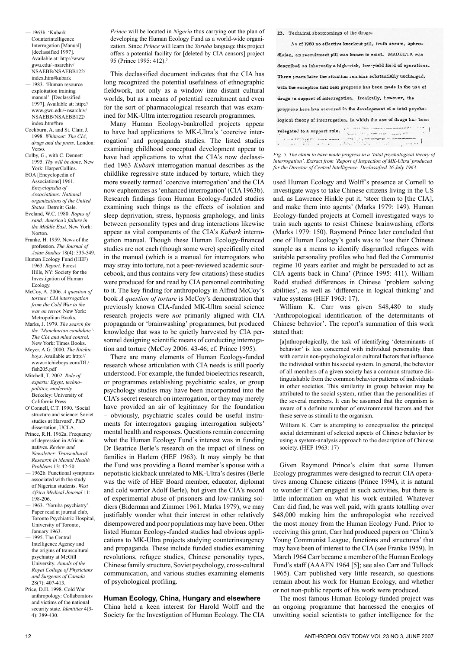- 1963b. 'Kubark Counterintelligence Interrogation [Manual] [declassified 1997]. Available at: http://www. gwu.edu/~nsarchiv/ NSAEBB/NSAEBB122/ index.htm#kubark
- 1983. 'Human resource exploitation training manual'. [Declassified 1997]. Available at: http:// www.gwu.edu/~nsarchiv/ NSAEBB/NSAEBB122/ index.htm#hre
- Cockburn, A. and St. Clair, J. 1998. *Whiteout: The CIA, drugs and the press*. London: Verso.
- Colby, G., with C. Dennett 1995. *Thy will be done*. New York: HarperCollins.
- EOA [Encyclopedia of Associations] 1961. *Encyclopedia of Associations: National organizations of the United States.* Detroit: Gale. Eveland, W.C. 1980. *Ropes of sand: America's failure in*
- *the Middle East*. New York: Norton. Franke, H. 1959. News of the
- profession. *The Journal of Asian Studies* 18(4): 535-549. Human Ecology Fund (HEF)
- 1963. *Report*. Forest Hills, NY: Society for the Investigation of Human Ecology.
- McCoy, A. 2006. *A question of torture: CIA interrogation from the Cold War to the war on terror.* New York: Metropolitan Books.
- Marks, J. 1979. *The search for the 'Manchurian candidate': The CIA and mind control.* New York: Times Books.
- Meyer, A.G. 2000. *The Ritchie boys*. Available at: http:// www.ritchieboys.com/DL/ fish205.pdf
- Mitchell, T. 2002. *Rule of experts: Egypt, technopolitics, modernity*. Berkeley: University of California Press.
- O'Connell, C.T. 1990. 'Social structure and science: Soviet studies at Harvard'. PhD dissertation, UCLA.
- Prince, R.H. 1962a. Frequency of depression in African natives. *Review and Newsletter: Transcultural Research in Mental Health Problems* 13: 42-50.
- 1962b. Functional symptoms associated with the study of Nigerian students. *West Africa Medical Journal* 11: 198-206.
- 1963. 'Yoruba psychiatry'. Paper read at journal club, Toronto Psychiatric Hospital, University of Toronto, January 1963.
- 1995. The Central Intelligence Agency and the origins of transcultural psychiatry at McGill University. *Annals of the Royal College of Physicians and Surgeons of Canada* 28(7): 407-413.
- Price, D.H. 1998. Cold War anthropology: Collaborators and victims of the national security state. *Identities* 4(3- 4): 389-430.

*Prince* will be located in *Nigeria* thus carrying out the plan of developing the Human Ecology Fund as a world-wide organization. Since *Prince* will learn the *Yoruba* language this project offers a potential facility for [deleted by CIA censors] project 95 (Prince 1995: 412).<sup>5</sup>

This declassified document indicates that the CIA has long recognized the potential usefulness of ethnographic fieldwork, not only as a window into distant cultural worlds, but as a means of potential recruitment and even for the sort of pharmacological research that was examined for MK-Ultra interrogation research programmes.

Many Human Ecology-bankrolled projects appear to have had applications to MK-Ultra's 'coercive interrogation' and propaganda studies. The listed studies examining childhood conceptual development appear to have had applications to what the CIA's now declassified 1963 *Kubark* interrogation manual describes as the childlike regressive state induced by torture, which they more sweetly termed 'coercive interrogation' and the CIA now euphemizes as 'enhanced interrogation' (CIA 1963b). Research findings from Human Ecology-funded studies examining such things as the effects of isolation and sleep deprivation, stress, hypnosis graphology, and links between personality types and drug interactions likewise appear as vital components of the CIA's *Kubark* interrogation manual. Though these Human Ecology-financed studies are not each (though some were) specifically cited in the manual (which is a manual for interrogators who may stray into torture, not a peer-reviewed academic sourcebook, and thus contains very few citations) these studies were produced for and read by CIA personnel contributing to it. The key finding for anthropology in Alfred McCoy's book *A question of torture* is McCoy's demonstration that previously known CIA-funded MK-Ultra social science research projects were *not* primarily aligned with CIA propaganda or 'brainwashing' programmes, but produced knowledge that was to be quietly harvested by CIA personnel designing scientific means of conducting interrogation and torture (McCoy 2006: 43-46; cf. Prince 1995).

There are many elements of Human Ecology-funded research whose articulation with CIA needs is still poorly understood. For example, the funded bioelectrics research, or programmes establishing psychiatric scales, or group psychology studies may have been incorporated into the CIA's secret research on interrogation, or they may merely have provided an air of legitimacy for the foundation – obviously, psychiatric scales could be useful instruments for interrogators gauging interrogation subjects' mental health and responses. Questions remain concerning what the Human Ecology Fund's interest was in funding Dr Beatrice Berle's research on the impact of illness on families in Harlem (HEF 1963). It may simply be that the Fund was providing a Board member's spouse with a nepotistic kickback unrelated to MK-Ultra's desires (Berle was the wife of HEF Board member, educator, diplomat and cold warrior Adolf Berle), but given the CIA's record of experimental abuse of prisoners and low-ranking soldiers (Biderman and Zimmer 1961, Marks 1979), we may justifiably wonder what their interest in other relatively disempowered and poor populations may have been. Other listed Human Ecology-funded studies had obvious applications to MK-Ultra projects studying counterinsurgency and propaganda. These include funded studies examining revolutions, refugee studies, Chinese personality types, Chinese family structure, Soviet psychology, cross-cultural communication, and various studies examining elements of psychological profiling.

### **Human Ecology, China, Hungary and elsewhere**

China held a keen interest for Harold Wolff and the Society for the Investigation of Human Ecology. The CIA 23. Technical shortcomings of the drugs:

As of 1960 no effective knockout pill, truth serum, aphrodisiac, co recruitment pill was known to exist. MKDELTA was described as inherently a high-risk, low-yield field of operations. Three years later the situation remains substantially unchanged, with the exception that real progress has been made in the use of drugs in support of interrogation. Ironically, however, the progress here has occurred in the development of a fotal psychological theory of interrogation, in which the use of drugs has been  $\begin{minipage}{0.9\textwidth} \begin{tabular}{|c|c|c|} \hline \textbf{relegated to a support role.} & \textbf{r} & \textbf{r} & \textbf{r} & \textbf{r} & \textbf{r} & \textbf{r} & \textbf{r} & \textbf{r} & \textbf{r} & \textbf{r} & \textbf{r} & \textbf{r} & \textbf{r} & \textbf{r} & \textbf{r} & \textbf{r} & \textbf{r} & \textbf{r} & \textbf{r} & \textbf{r} & \textbf{r} & \textbf{r} & \textbf{r} & \textbf{r} & \textbf{r} &$  $\mathbf{I}$ 

Fig. 5. The claim to have made progress in a 'total psychological theory of *interrogation'. Extract from 'Report of Inspection of MK-Ultra' produced for the Director of Central Intelligence. Declassified 26 July 1963.*

used Human Ecology and Wolff's presence at Cornell to investigate ways to take Chinese citizens living in the US and, as Lawrence Hinkle put it, 'steer them to [the CIA], and make them into agents' (Marks 1979: 149). Human Ecology-funded projects at Cornell investigated ways to train such agents to resist Chinese brainwashing efforts (Marks 1979: 150). Raymond Prince later concluded that one of Human Ecology's goals was to 'use their Chinese sample as a means to identify disgruntled refugees with suitable personality profiles who had fled the Communist regime 10 years earlier and might be persuaded to act as CIA agents back in China' (Prince 1995: 411). William Rodd studied differences in Chinese 'problem solving abilities', as well as 'difference in logical thinking' and value systems (HEF 1963: 17).

William K. Carr was given \$48,480 to study 'Anthropological identification of the determinants of Chinese behavior'. The report's summation of this work stated that:

[a]nthropologically, the task of identifying 'determinants of behavior' is less concerned with individual personality than with certain non-psychological or cultural factors that influence the individual within his social system. In general, the behavior of all members of a given society has a common structure distinguishable from the common behavior patterns of individuals in other societies. This similarity in group behavior may be attributed to the social system, rather than the personalities of the several members. It can be assumed that the organism is aware of a definite number of environmental factors and that these serve as stimuli to the organism.

William K. Carr is attempting to conceptualize the principal social determinant of selected aspects of Chinese behavior by using a system-analysis approach to the description of Chinese society. (HEF 1963: 17)

Given Raymond Prince's claim that some Human Ecology programmes were designed to recruit CIA operatives among Chinese citizens (Prince 1994), it is natural to wonder if Carr engaged in such activities, but there is little information on what his work entailed. Whatever Carr did find, he was well paid, with grants totalling over \$48,000 making him the anthropologist who received the most money from the Human Ecology Fund. Prior to receiving this grant, Carr had produced papers on 'China's Young Communist League, functions and structures' that may have been of interest to the CIA (see Franke 1959). In March 1964 Carr became a member of the Human Ecology Fund's staff (AAAFN 1964 [5]; see also Carr and Tullock 1965). Carr published very little research, so questions remain about his work for Human Ecology, and whether or not non-public reports of his work were produced.

The most famous Human Ecology-funded project was an ongoing programme that harnessed the energies of unwitting social scientists to gather intelligence for the